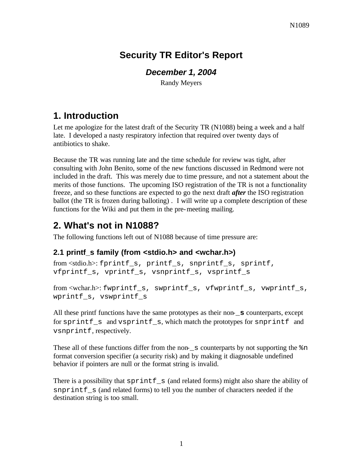# **Security TR Editor's Report**

## *December 1, 2004*

Randy Meyers

# **1. Introduction**

Let me apologize for the latest draft of the Security TR (N1088) being a week and a half late. I developed a nasty respiratory infection that required over twenty days of antibiotics to shake.

Because the TR was running late and the time schedule for review was tight, after consulting with John Benito, some of the new functions discussed in Redmond were not included in the draft. This was merely due to time pressure, and not a statement about the merits of those functions. The upcoming ISO registration of the TR is not a functionality freeze, and so these functions are expected to go the next draft *after* the ISO registration ballot (the TR is frozen during balloting). I will write up a complete description of these functions for the Wiki and put them in the pre-meeting mailing.

# **2. What's not in N1088?**

The following functions left out of N1088 because of time pressure are:

## **2.1 printf\_s family (from <stdio.h> and <wchar.h>)**

```
from <stdio.h>: fprintf_s, printf_s, snprintf_s, sprintf, 
vfprintf_s, vprintf_s, vsnprintf_s, vsprintf_s
```

```
from <wchar.h>: fwprintf_s, swprintf_s, vfwprintf_s, vwprintf_s, 
wprintf_s, vswprintf_s
```
All these printf functions have the same prototypes as their non-**\_s** counterparts, except for sprintf\_s and vsprintf\_s, which match the prototypes for snprintf and vsnprintf, respectively.

These all of these functions differ from the non-\_s counterparts by not supporting the %n format conversion specifier (a security risk) and by making it diagnosable undefined behavior if pointers are null or the format string is invalid.

There is a possibility that sprint  $f$ <sub>s</sub> (and related forms) might also share the ability of snprintf s (and related forms) to tell you the number of characters needed if the destination string is too small.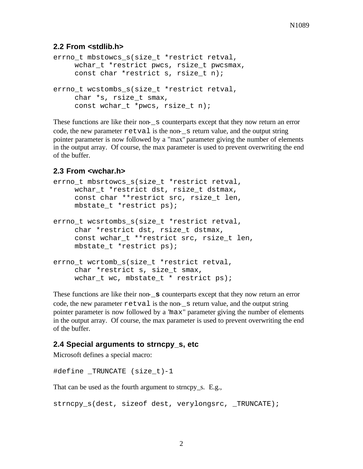#### **2.2 From <stdlib.h>**

```
errno t mbstowcs s(size t *restrict retval,
     wchar_t *restrict pwcs, rsize_t pwcsmax,
     const char *restrict s, rsize t n);
errno_t wcstombs_s(size_t *restrict retval,
     char *s, rsize_t smax,
     const wchar_t *pwcs, rsize_t n);
```
These functions are like their non-s counterparts except that they now return an error code, the new parameter  $r$ etval is the non-s return value, and the output string pointer parameter is now followed by a "max" parameter giving the number of elements in the output array. Of course, the max parameter is used to prevent overwriting the end of the buffer.

#### **2.3 From <wchar.h>**

```
errno_t mbsrtowcs_s(size_t *restrict retval,
    wchar t *restrict dst, rsize t dstmax,
     const char **restrict src, rsize_t len,
    mbstate_t *restrict ps);
errno_t wcsrtombs_s(size_t *restrict retval,
     char *restrict dst, rsize_t dstmax,
     const wchar t **restrict src, rsize t len,
    mbstate_t *restrict ps);
errno t wcrtomb s(size t *restrict retval,
     char *restrict s, size_t smax,
    wchar_t wc, mbstate_t * restrict ps);
```
These functions are like their non-**\_s** counterparts except that they now return an error code, the new parameter  $\text{retval}$  is the non- $\text{s}$  return value, and the output string pointer parameter is now followed by a "max" parameter giving the number of elements in the output array. Of course, the max parameter is used to prevent overwriting the end of the buffer.

#### **2.4 Special arguments to strncpy\_s, etc**

Microsoft defines a special macro:

#define \_TRUNCATE (size\_t)-1

That can be used as the fourth argument to strncpy\_s. E.g.,

```
strncpy_s(dest, sizeof dest, verylongsrc, _TRUNCATE);
```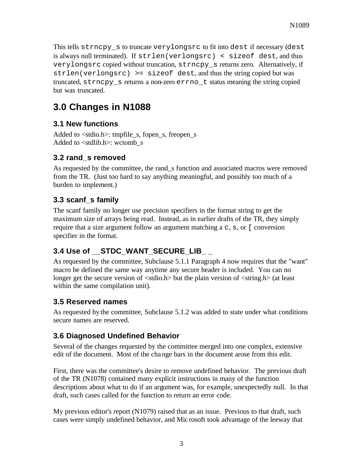This tells strncpy s to truncate verylongsrc to fit into dest if necessary (dest is always null terminated). If strlen(verlongsrc) < sizeof dest, and thus verylongsrc copied without truncation, strncpy\_s returns zero. Alternatively, if  $strlen(verlongsrc)$  >=  $sizeof$  dest, and thus the string copied but was truncated, strncpy\_s returns a non-zero errno\_t status meaning the string copied but was truncated.

# **3.0 Changes in N1088**

### **3.1 New functions**

Added to  $\lt$ stdio.h $\gt$ : tmpfile s, fopen s, freopen s Added to  $\lt$ stdlib.h $>$ : wctomb s

#### **3.2 rand\_s removed**

As requested by the committee, the rand\_s function and associated macros were removed from the TR. (Just too hard to say anything meaningful, and possibly too much of a burden to implement.)

### **3.3 scanf\_s family**

The scanf family no longer use precision specifiers in the format string to get the maximum size of arrays being read. Instead, as in earlier drafts of the TR, they simply require that a size argument follow an argument matching  $a \circ s$ ,  $s$ , or [ conversion specifier in the format.

## **3.4 Use of \_\_STDC\_WANT\_SECURE\_LIB\_ \_**

As requested by the committee, Subclause 5.1.1 Paragraph 4 now requires that the "want" macro be defined the same way anytime any secure header is included. You can no longer get the secure version of  $\lt$ stdio.h $>$  but the plain version of  $\lt$ string.h $>$  (at least within the same compilation unit).

#### **3.5 Reserved names**

As requested by the committee, Subclause 5.1.2 was added to state under what conditions secure names are reserved.

#### **3.6 Diagnosed Undefined Behavior**

Several of the changes requested by the committee merged into one complex, extensive edit of the document. Most of the change bars in the document arose from this edit.

First, there was the committee's desire to remove undefined behavior. The previous draft of the TR (N1078) contained many explicit instructions in many of the function descriptions about what to do if an argument was, for example, unexpectedly null. In that draft, such cases called for the function to return an error code.

My previous editor's report (N1079) raised that as an issue. Previous to that draft, such cases were simply undefined behavior, and Mic rosoft took advantage of the leeway that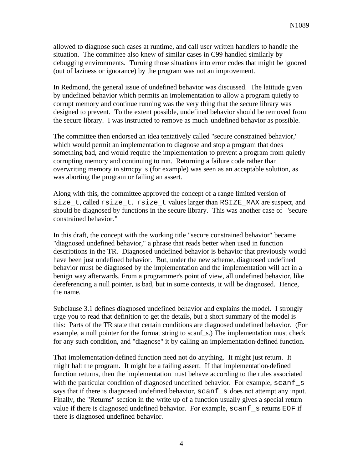allowed to diagnose such cases at runtime, and call user written handlers to handle the situation. The committee also knew of similar cases in C99 handled similarly by debugging environments. Turning those situations into error codes that might be ignored (out of laziness or ignorance) by the program was not an improvement.

In Redmond, the general issue of undefined behavior was discussed. The latitude given by undefined behavior which permits an implementation to allow a program quietly to corrupt memory and continue running was the very thing that the secure library was designed to prevent. To the extent possible, undefined behavior should be removed from the secure library. I was instructed to remove as much undefined behavior as possible.

The committee then endorsed an idea tentatively called "secure constrained behavior," which would permit an implementation to diagnose and stop a program that does something bad, and would require the implementation to prevent a program from quietly corrupting memory and continuing to run. Returning a failure code rather than overwriting memory in strncpy\_s (for example) was seen as an acceptable solution, as was aborting the program or failing an assert.

Along with this, the committee approved the concept of a range limited version of size t, called rsize t. rsize t values larger than RSIZE\_MAX are suspect, and should be diagnosed by functions in the secure library. This was another case of "secure constrained behavior."

In this draft, the concept with the working title "secure constrained behavior" became "diagnosed undefined behavior," a phrase that reads better when used in function descriptions in the TR. Diagnosed undefined behavior is behavior that previously would have been just undefined behavior. But, under the new scheme, diagnosed undefined behavior must be diagnosed by the implementation and the implementation will act in a benign way afterwards. From a programmer's point of view, all undefined behavior, like dereferencing a null pointer, is bad, but in some contexts, it will be diagnosed. Hence, the name.

Subclause 3.1 defines diagnosed undefined behavior and explains the model. I strongly urge you to read that definition to get the details, but a short summary of the model is this: Parts of the TR state that certain conditions are diagnosed undefined behavior. (For example, a null pointer for the format string to scanf s.) The implementation must check for any such condition, and "diagnose" it by calling an implementation-defined function.

That implementation-defined function need not do anything. It might just return. It might halt the program. It might be a failing assert. If that implementation-defined function returns, then the implementation must behave according to the rules associated with the particular condition of diagnosed undefined behavior. For example, scanf s says that if there is diagnosed undefined behavior, scanf s does not attempt any input. Finally, the "Returns" section in the write up of a function usually gives a special return value if there is diagnosed undefined behavior. For example, scanf s returns EOF if there is diagnosed undefined behavior.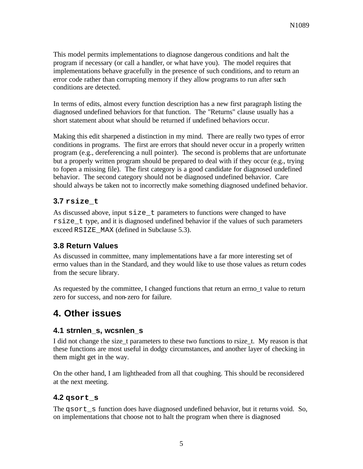This model permits implementations to diagnose dangerous conditions and halt the program if necessary (or call a handler, or what have you). The model requires that implementations behave gracefully in the presence of such conditions, and to return an error code rather than corrupting memory if they allow programs to run after such conditions are detected.

In terms of edits, almost every function description has a new first paragraph listing the diagnosed undefined behaviors for that function. The "Returns" clause usually has a short statement about what should be returned if undefined behaviors occur.

Making this edit sharpened a distinction in my mind. There are really two types of error conditions in programs. The first are errors that should never occur in a properly written program (e.g., dereferencing a null pointer). The second is problems that are unfortunate but a properly written program should be prepared to deal with if they occur (e.g., trying to fopen a missing file). The first category is a good candidate for diagnosed undefined behavior. The second category should not be diagnosed undefined behavior. Care should always be taken not to incorrectly make something diagnosed undefined behavior.

## **3.7 rsize\_t**

As discussed above, input  $size_t$  parameters to functions were changed to have rsize\_t type, and it is diagnosed undefined behavior if the values of such parameters exceed RSIZE MAX (defined in Subclause 5.3).

## **3.8 Return Values**

As discussed in committee, many implementations have a far more interesting set of errno values than in the Standard, and they would like to use those values as return codes from the secure library.

As requested by the committee, I changed functions that return an errno t value to return zero for success, and non-zero for failure.

## **4. Other issues**

#### **4.1 strnlen\_s, wcsnlen\_s**

I did not change the size\_t parameters to these two functions to rsize\_t. My reason is that these functions are most useful in dodgy circumstances, and another layer of checking in them might get in the way.

On the other hand, I am lightheaded from all that coughing. This should be reconsidered at the next meeting.

## **4.2 qsort\_s**

The gsort s function does have diagnosed undefined behavior, but it returns void. So, on implementations that choose not to halt the program when there is diagnosed